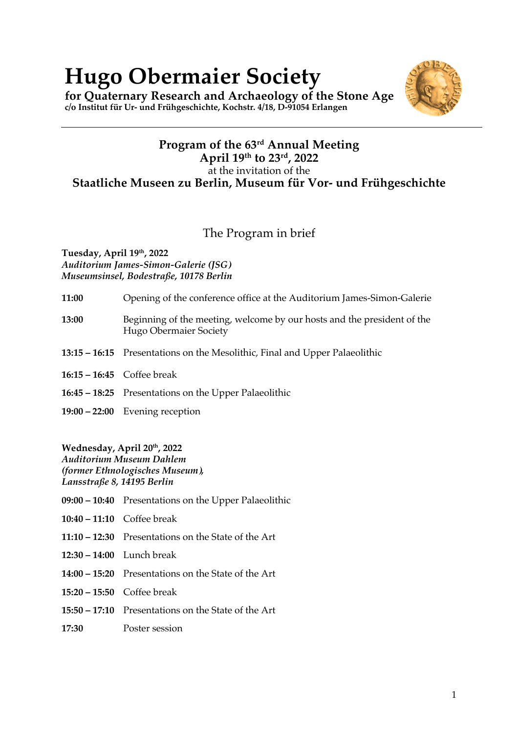# **Hugo Obermaier Society**

**for Quaternary Research and Archaeology of the Stone Age c/o Institut für Ur- und Frühgeschichte, Kochstr. 4/18, D-91054 Erlangen**



## The Program in brief

**Tuesday, April 19th, 2022** *Auditorium James-Simon-Galerie (JSG) Museumsinsel, Bodestraße, 10178 Berlin*

| 11:00 | Opening of the conference office at the Auditorium James-Simon-Galerie                            |
|-------|---------------------------------------------------------------------------------------------------|
| 13:00 | Beginning of the meeting, welcome by our hosts and the president of the<br>Hugo Obermaier Society |
|       | 13:15 – 16:15 Presentations on the Mesolithic, Final and Upper Palaeolithic                       |
|       | $16:15 - 16:45$ Coffee break                                                                      |
|       | 16:45 – 18:25 Presentations on the Upper Palaeolithic                                             |
|       | $19:00 - 22:00$ Evening reception                                                                 |

**Wednesday, April 20th, 2022**

*Auditorium Museum Dahlem (former Ethnologisches Museum), Lansstraße 8, 14195 Berlin*

- **09:00 – 10:40** Presentations on the Upper Palaeolithic
- **10:40 – 11:10** Coffee break
- **11:10 – 12:30** Presentations on the State of the Art
- **12:30 – 14:00** Lunch break
- **14:00 – 15:20** Presentations on the State of the Art
- **15:20 – 15:50** Coffee break
- **15:50 – 17:10** Presentations on the State of the Art
- **17:30** Poster session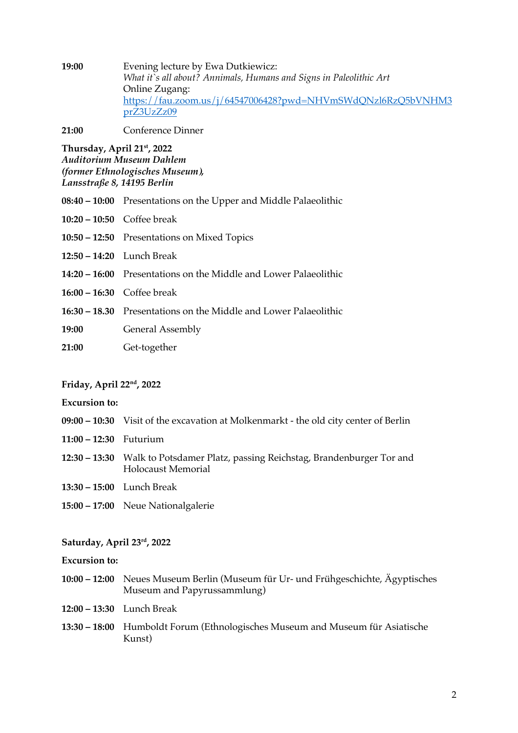**19:00** Evening lecture by Ewa Dutkiewicz: *What it`s all about? Annimals, Humans and Signs in Paleolithic Art* Online Zugang: https://fau.zoom.us/j/64547006428?pwd=NHVmSWdQNzl6RzQ5bVNHM3 prZ3UzZz09

**21:00** Conference Dinner

**Thursday, April 21st, 2022** *Auditorium Museum Dahlem (former Ethnologisches Museum), Lansstraße 8, 14195 Berlin*

- **08:40 – 10:00** Presentations on the Upper and Middle Palaeolithic
- **10:20 – 10:50** Coffee break
- **10:50 – 12:50** Presentations on Mixed Topics
- **12:50 – 14:20** Lunch Break
- **14:20 – 16:00** Presentations on the Middle and Lower Palaeolithic
- **16:00 – 16:30** Coffee break
- **16:30 – 18.30** Presentations on the Middle and Lower Palaeolithic

**19:00** General Assembly

**21:00** Get-together

#### **Friday, April 22nd, 2022**

**Excursion to:** 

- **09:00 – 10:30** Visit of the excavation at Molkenmarkt the old city center of Berlin
- **11:00 – 12:30** Futurium
- **12:30 – 13:30** Walk to Potsdamer Platz, passing Reichstag, Brandenburger Tor and Holocaust Memorial
- **13:30 – 15:00** Lunch Break
- **15:00 – 17:00** Neue Nationalgalerie

#### **Saturday, April 23rd, 2022**

**Excursion to:** 

- **10:00 – 12:00** Neues Museum Berlin (Museum für Ur- und Frühgeschichte, Ägyptisches Museum and Papyrussammlung)
- **12:00 – 13:30** Lunch Break
- **13:30 – 18:00** Humboldt Forum (Ethnologisches Museum and Museum für Asiatische Kunst)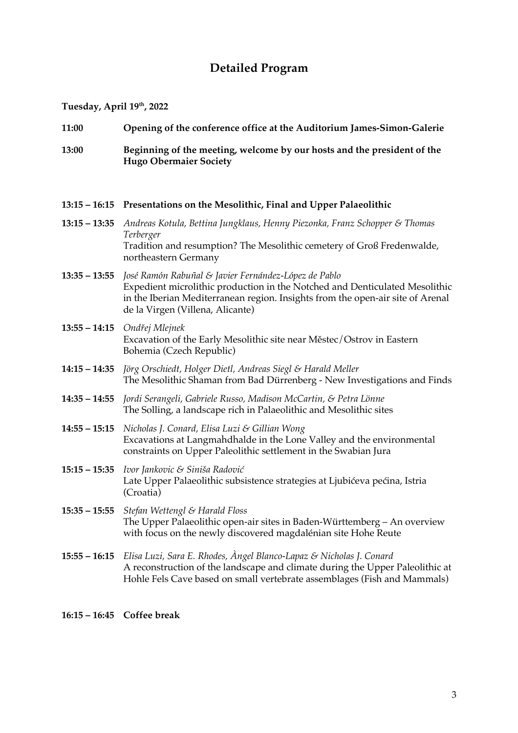# **Detailed Program**

**Tuesday, April 19th, 2022**

| 11:00           | Opening of the conference office at the Auditorium James-Simon-Galerie                                                                                                                                                                                    |
|-----------------|-----------------------------------------------------------------------------------------------------------------------------------------------------------------------------------------------------------------------------------------------------------|
| 13:00           | Beginning of the meeting, welcome by our hosts and the president of the<br><b>Hugo Obermaier Society</b>                                                                                                                                                  |
|                 | 13:15 – 16:15 Presentations on the Mesolithic, Final and Upper Palaeolithic                                                                                                                                                                               |
| $13:15 - 13:35$ | Andreas Kotula, Bettina Jungklaus, Henny Piezonka, Franz Schopper & Thomas<br>Terberger<br>Tradition and resumption? The Mesolithic cemetery of Groß Fredenwalde,<br>northeastern Germany                                                                 |
| $13:35 - 13:55$ | José Ramón Rabuñal & Javier Fernández-López de Pablo<br>Expedient microlithic production in the Notched and Denticulated Mesolithic<br>in the Iberian Mediterranean region. Insights from the open-air site of Arenal<br>de la Virgen (Villena, Alicante) |
| $13:55 - 14:15$ | Ondřej Mlejnek<br>Excavation of the Early Mesolithic site near Městec/Ostrov in Eastern<br>Bohemia (Czech Republic)                                                                                                                                       |
| $14:15 - 14:35$ | Jörg Orschiedt, Holger Dietl, Andreas Siegl & Harald Meller<br>The Mesolithic Shaman from Bad Dürrenberg - New Investigations and Finds                                                                                                                   |
| $14:35 - 14:55$ | Jordi Serangeli, Gabriele Russo, Madison McCartin, & Petra Lönne<br>The Solling, a landscape rich in Palaeolithic and Mesolithic sites                                                                                                                    |
| $14:55 - 15:15$ | Nicholas J. Conard, Elisa Luzi & Gillian Wong<br>Excavations at Langmahdhalde in the Lone Valley and the environmental<br>constraints on Upper Paleolithic settlement in the Swabian Jura                                                                 |
| $15:15 - 15:35$ | Ivor Jankovic & Siniša Radović<br>Late Upper Palaeolithic subsistence strategies at Ljubićeva pećina, Istria<br>(Croatia)                                                                                                                                 |
|                 | $15:35 - 15:55$ Stefan Wettengl & Harald Floss<br>The Upper Palaeolithic open-air sites in Baden-Württemberg - An overview<br>with focus on the newly discovered magdalénian site Hohe Reute                                                              |
| $15:55 - 16:15$ | Elisa Luzi, Sara E. Rhodes, Angel Blanco-Lapaz & Nicholas J. Conard<br>A reconstruction of the landscape and climate during the Upper Paleolithic at<br>Hohle Fels Cave based on small vertebrate assemblages (Fish and Mammals)                          |

**16:15 – 16:45 Coffee break**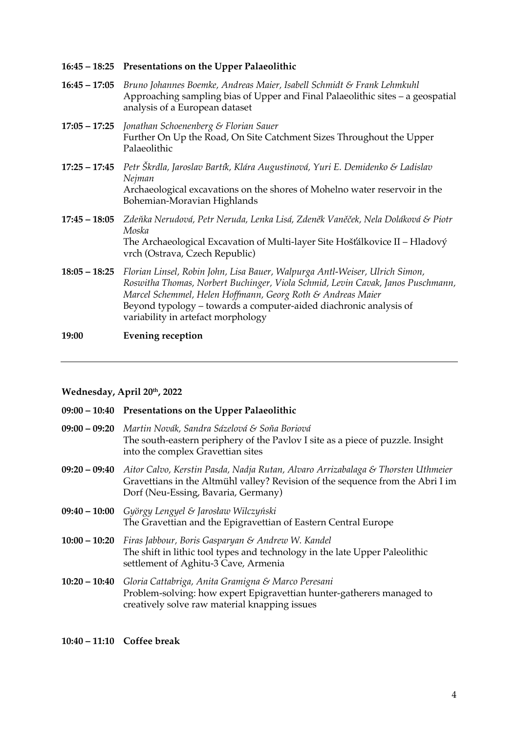**16:45 – 18:25 Presentations on the Upper Palaeolithic**

- **16:45 – 17:05** *Bruno Johannes Boemke, Andreas Maier, Isabell Schmidt & Frank Lehmkuhl* Approaching sampling bias of Upper and Final Palaeolithic sites – a geospatial analysis of a European dataset
- **17:05 – 17:25** *Jonathan Schoenenberg & Florian Sauer* Further On Up the Road, On Site Catchment Sizes Throughout the Upper Palaeolithic
- **17:25 – 17:45** *Petr Škrdla, Jaroslav Bartík, Klára Augustinová, Yuri E. Demidenko & Ladislav Nejman*  Archaeological excavations on the shores of Mohelno water reservoir in the Bohemian-Moravian Highlands
- **17:45 – 18:05** *Zdeňka Nerudová, Petr Neruda, Lenka Lisá, Zdeněk Vaněček, Nela Doláková & Piotr Moska* The Archaeological Excavation of Multi-layer Site Hošťálkovice II – Hladový vrch (Ostrava, Czech Republic)
- **18:05 – 18:25** *Florian Linsel, Robin John, Lisa Bauer, Walpurga Antl-Weiser, Ulrich Simon, Roswitha Thomas, Norbert Buchinger, Viola Schmid, Levin Cavak, Janos Puschmann, Marcel Schemmel, Helen Hoffmann, Georg Roth & Andreas Maier* Beyond typology – towards a computer-aided diachronic analysis of variability in artefact morphology

#### **19:00 Evening reception**

#### **Wednesday, April 20th, 2022**

- **09:00 – 10:40 Presentations on the Upper Palaeolithic**
- **09:00 – 09:20** *Martin Novák, Sandra Sázelová & Soňa Boriová* The south-eastern periphery of the Pavlov I site as a piece of puzzle. Insight into the complex Gravettian sites
- **09:20 – 09:40** *Aitor Calvo, Kerstin Pasda, Nadja Rutan, Alvaro Arrizabalaga & Thorsten Uthmeier* Gravettians in the Altmühl valley? Revision of the sequence from the Abri I im Dorf (Neu-Essing, Bavaria, Germany)
- **09:40 – 10:00** *György Lengyel & Jarosław Wilczyński* The Gravettian and the Epigravettian of Eastern Central Europe
- **10:00 – 10:20** *Firas Jabbour, Boris Gasparyan & Andrew W. Kandel* The shift in lithic tool types and technology in the late Upper Paleolithic settlement of Aghitu-3 Cave, Armenia
- **10:20 – 10:40** *Gloria Cattabriga, Anita Gramigna & Marco Peresani* Problem-solving: how expert Epigravettian hunter-gatherers managed to creatively solve raw material knapping issues

**10:40 – 11:10 Coffee break**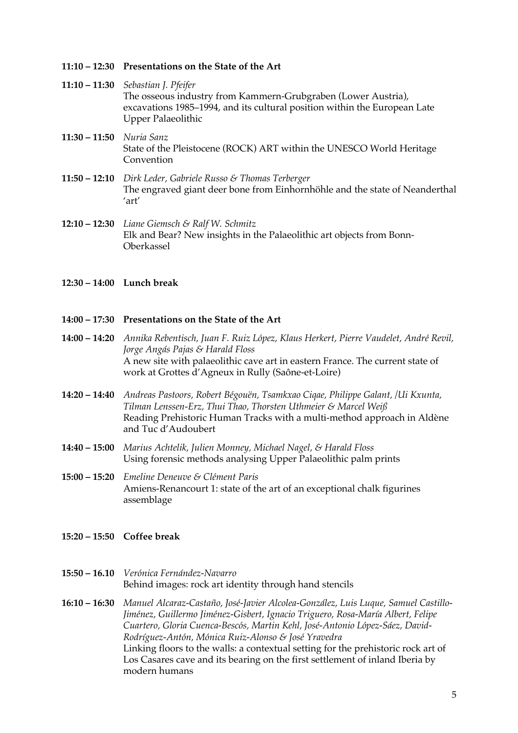- **11:10 – 12:30 Presentations on the State of the Art**
- **11:10 – 11:30** *Sebastian J. Pfeifer* The osseous industry from Kammern-Grubgraben (Lower Austria), excavations 1985–1994, and its cultural position within the European Late Upper Palaeolithic
- **11:30 – 11:50** *Nuria Sanz* State of the Pleistocene (ROCK) ART within the UNESCO World Heritage Convention
- **11:50 – 12:10** *Dirk Leder, Gabriele Russo & Thomas Terberger* The engraved giant deer bone from Einhornhöhle and the state of Neanderthal 'art'
- **12:10 – 12:30** *Liane Giemsch & Ralf W. Schmitz* Elk and Bear? New insights in the Palaeolithic art objects from Bonn-Oberkassel
- **12:30 – 14:00 Lunch break**

#### **14:00 – 17:30 Presentations on the State of the Art**

- **14:00 – 14:20** *Annika Rebentisch, Juan F. Ruiz López, Klaus Herkert, Pierre Vaudelet, André Revil, Jorge Angás Pajas & Harald Floss*  A new site with palaeolithic cave art in eastern France. The current state of work at Grottes d'Agneux in Rully (Saône-et-Loire)
- **14:20 – 14:40** *Andreas Pastoors, Robert Bégouën, Tsamkxao Ciqae, Philippe Galant, /Ui Kxunta, Tilman Lenssen-Erz, Thui Thao, Thorsten Uthmeier & Marcel Weiß* Reading Prehistoric Human Tracks with a multi-method approach in Aldène and Tuc d'Audoubert
- **14:40 – 15:00** *Marius Achtelik, Julien Monney, Michael Nagel, & Harald Floss* Using forensic methods analysing Upper Palaeolithic palm prints
- **15:00 – 15:20** *Emeline Deneuve & Clément Paris* Amiens-Renancourt 1: state of the art of an exceptional chalk figurines assemblage
- **15:20 – 15:50 Coffee break**
- **15:50 – 16.10** *Verónica Fernández-Navarro* Behind images: rock art identity through hand stencils
- **16:10 – 16:30** *Manuel Alcaraz-Castaño, José-Javier Alcolea-González, Luis Luque, Samuel Castillo-Jiménez, Guillermo Jiménez-Gisbert, Ignacio Triguero, Rosa-María Albert, Felipe Cuartero, Gloria Cuenca-Bescós, Martin Kehl, José-Antonio López-Sáez, David-Rodríguez-Antón, Mónica Ruiz-Alonso & José Yravedra* Linking floors to the walls: a contextual setting for the prehistoric rock art of Los Casares cave and its bearing on the first settlement of inland Iberia by modern humans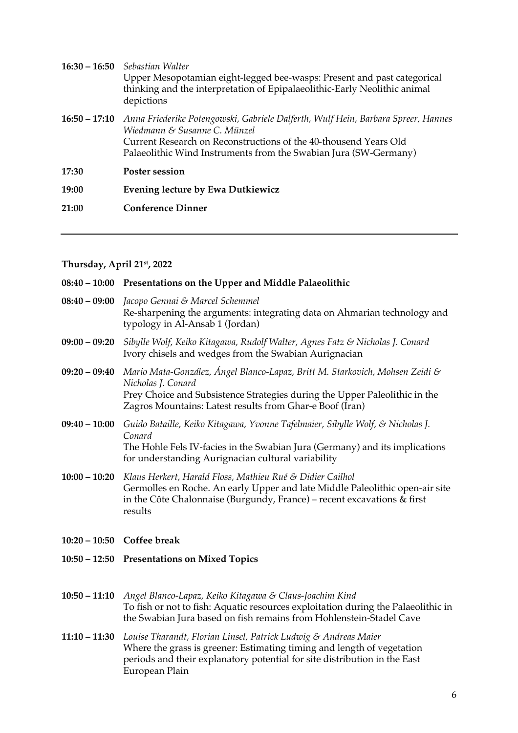|                 | <b>16:30 – 16:50</b> Sebastian Walter<br>Upper Mesopotamian eight-legged bee-wasps: Present and past categorical<br>thinking and the interpretation of Epipalaeolithic-Early Neolithic animal<br>depictions                                               |
|-----------------|-----------------------------------------------------------------------------------------------------------------------------------------------------------------------------------------------------------------------------------------------------------|
| $16:50 - 17:10$ | Anna Friederike Potengowski, Gabriele Dalferth, Wulf Hein, Barbara Spreer, Hannes<br>Wiedmann & Susanne C. Münzel<br>Current Research on Reconstructions of the 40-thousend Years Old<br>Palaeolithic Wind Instruments from the Swabian Jura (SW-Germany) |
| 17:30           | <b>Poster session</b>                                                                                                                                                                                                                                     |
| 19:00           | <b>Evening lecture by Ewa Dutkiewicz</b>                                                                                                                                                                                                                  |
| 21:00           | <b>Conference Dinner</b>                                                                                                                                                                                                                                  |
|                 |                                                                                                                                                                                                                                                           |

#### **Thursday, April 21st, 2022**

|                 | 08:40 – 10:00 Presentations on the Upper and Middle Palaeolithic                                                                                                                                                                                           |
|-----------------|------------------------------------------------------------------------------------------------------------------------------------------------------------------------------------------------------------------------------------------------------------|
|                 | 08:40 - 09:00 Jacopo Gennai & Marcel Schemmel<br>Re-sharpening the arguments: integrating data on Ahmarian technology and<br>typology in Al-Ansab 1 (Jordan)                                                                                               |
| $09:00 - 09:20$ | Sibylle Wolf, Keiko Kitagawa, Rudolf Walter, Agnes Fatz & Nicholas J. Conard<br>Ivory chisels and wedges from the Swabian Aurignacian                                                                                                                      |
|                 | 09:20 – 09:40 Mario Mata-González, Ángel Blanco-Lapaz, Britt M. Starkovich, Mohsen Zeidi &<br>Nicholas J. Conard<br>Prey Choice and Subsistence Strategies during the Upper Paleolithic in the<br>Zagros Mountains: Latest results from Ghar-e Boof (Iran) |
| $09:40 - 10:00$ | Guido Bataille, Keiko Kitagawa, Yvonne Tafelmaier, Sibylle Wolf, & Nicholas J.<br>Conard<br>The Hohle Fels IV-facies in the Swabian Jura (Germany) and its implications<br>for understanding Aurignacian cultural variability                              |
| $10:00 - 10:20$ | Klaus Herkert, Harald Floss, Mathieu Rué & Didier Cailhol<br>Germolles en Roche. An early Upper and late Middle Paleolithic open-air site<br>in the Côte Chalonnaise (Burgundy, France) - recent excavations & first                                       |

**10:20 – 10:50 Coffee break**

results

- **10:50 – 12:50 Presentations on Mixed Topics**
- **10:50 – 11:10** *Angel Blanco-Lapaz, Keiko Kitagawa & Claus-Joachim Kind* To fish or not to fish: Aquatic resources exploitation during the Palaeolithic in the Swabian Jura based on fish remains from Hohlenstein-Stadel Cave
- **11:10 – 11:30** *Louise Tharandt, Florian Linsel, Patrick Ludwig & Andreas Maier* Where the grass is greener: Estimating timing and length of vegetation periods and their explanatory potential for site distribution in the East European Plain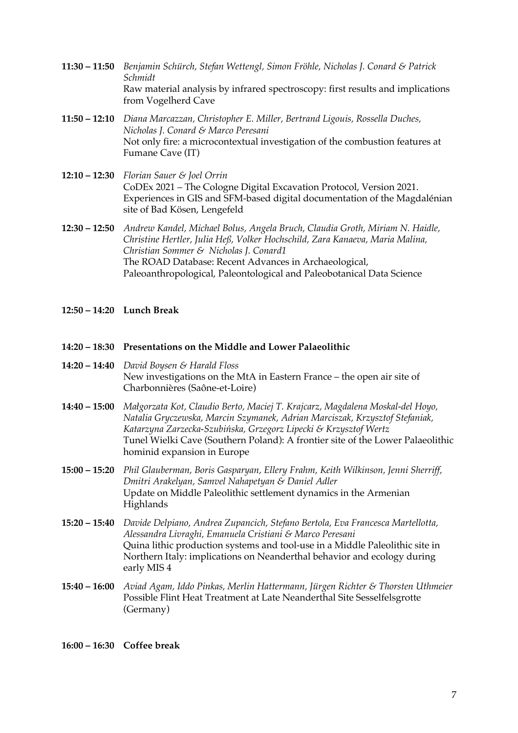- **11:30 – 11:50** *Benjamin Schürch, Stefan Wettengl, Simon Fröhle, Nicholas J. Conard & Patrick Schmidt* Raw material analysis by infrared spectroscopy: first results and implications from Vogelherd Cave
- **11:50 – 12:10** *Diana Marcazzan, Christopher E. Miller, Bertrand Ligouis, Rossella Duches, Nicholas J. Conard & Marco Peresani* Not only fire: a microcontextual investigation of the combustion features at Fumane Cave (IT)
- **12:10 – 12:30** *Florian Sauer & Joel Orrin* CoDEx 2021 – The Cologne Digital Excavation Protocol, Version 2021. Experiences in GIS and SFM-based digital documentation of the Magdalénian site of Bad Kösen, Lengefeld
- **12:30 – 12:50** *Andrew Kandel, Michael Bolus, Angela Bruch, Claudia Groth, Miriam N. Haidle, Christine Hertler, Julia Heß, Volker Hochschild, Zara Kanaeva, Maria Malina, Christian Sommer & Nicholas J. Conard1* The ROAD Database: Recent Advances in Archaeological, Paleoanthropological, Paleontological and Paleobotanical Data Science
- **12:50 – 14:20 Lunch Break**
- **14:20 – 18:30 Presentations on the Middle and Lower Palaeolithic**
- **14:20 – 14:40** *David Boysen & Harald Floss* New investigations on the MtA in Eastern France – the open air site of Charbonnières (Saône-et-Loire)
- **14:40 – 15:00** *Małgorzata Kot, Claudio Berto, Maciej T. Krajcarz, Magdalena Moskal-del Hoyo, Natalia Gryczewska, Marcin Szymanek, Adrian Marciszak, Krzysztof Stefaniak, Katarzyna Zarzecka-Szubińska, Grzegorz Lipecki & Krzysztof Wertz* Tunel Wielki Cave (Southern Poland): A frontier site of the Lower Palaeolithic hominid expansion in Europe
- **15:00 – 15:20** *Phil Glauberman, Boris Gasparyan, Ellery Frahm, Keith Wilkinson, Jenni Sherriff, Dmitri Arakelyan, Samvel Nahapetyan & Daniel Adler* Update on Middle Paleolithic settlement dynamics in the Armenian Highlands
- **15:20 – 15:40** *Davide Delpiano, Andrea Zupancich, Stefano Bertola, Eva Francesca Martellotta, Alessandra Livraghi, Emanuela Cristiani & Marco Peresani* Quina lithic production systems and tool-use in a Middle Paleolithic site in Northern Italy: implications on Neanderthal behavior and ecology during early MIS 4
- **15:40 – 16:00** *Aviad Agam, Iddo Pinkas, Merlin Hattermann, Jürgen Richter & Thorsten Uthmeier* Possible Flint Heat Treatment at Late Neanderthal Site Sesselfelsgrotte (Germany)

**16:00 – 16:30 Coffee break**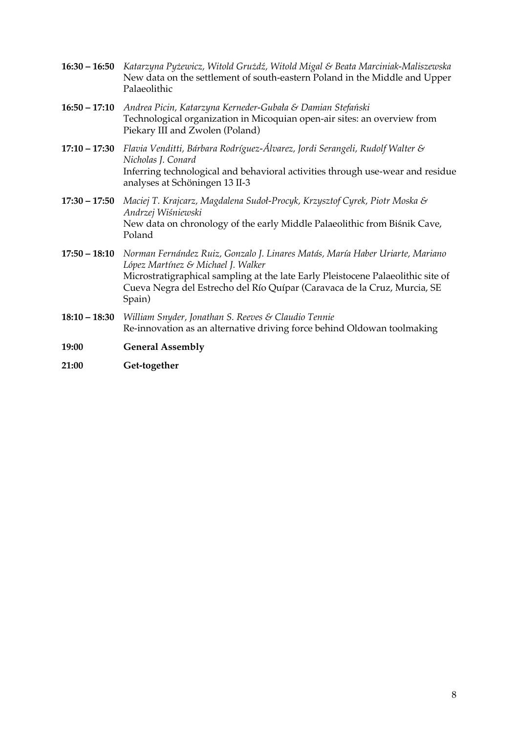- **16:30 – 16:50** *Katarzyna Pyżewicz, Witold Grużdź, Witold Migal & Beata Marciniak-Maliszewska* New data on the settlement of south-eastern Poland in the Middle and Upper Palaeolithic
- **16:50 – 17:10** *Andrea Picin, Katarzyna Kerneder-Gubała & Damian Stefański* Technological organization in Micoquian open-air sites: an overview from Piekary III and Zwolen (Poland)
- **17:10 – 17:30** *Flavia Venditti, Bárbara Rodríguez-Álvarez, Jordi Serangeli, Rudolf Walter & Nicholas J. Conard* Inferring technological and behavioral activities through use-wear and residue analyses at Schöningen 13 II-3
- **17:30 – 17:50** *Maciej T. Krajcarz, Magdalena Sudoł-Procyk, Krzysztof Cyrek, Piotr Moska & Andrzej Wiśniewski* New data on chronology of the early Middle Palaeolithic from Biśnik Cave, Poland
- **17:50 – 18:10** *Norman Fernández Ruiz, Gonzalo J. Linares Matás, María Haber Uriarte, Mariano López Martínez & Michael J. Walker* Microstratigraphical sampling at the late Early Pleistocene Palaeolithic site of Cueva Negra del Estrecho del Río Quípar (Caravaca de la Cruz, Murcia, SE Spain)
- **18:10 – 18:30** *William Snyder, Jonathan S. Reeves & Claudio Tennie* Re-innovation as an alternative driving force behind Oldowan toolmaking
- **19:00 General Assembly**
- **21:00 Get-together**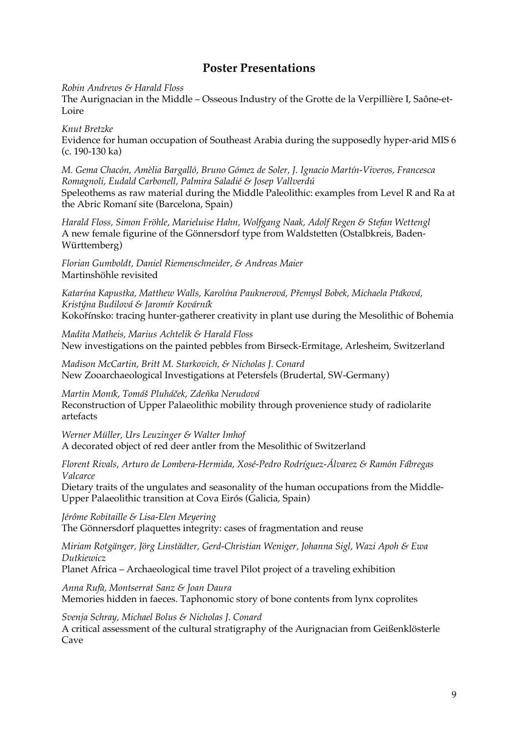### **Poster Presentations**

*Robin Andrews & Harald Floss*

The Aurignacian in the Middle – Osseous Industry of the Grotte de la Verpillière I, Saône-et-Loire

*Knut Bretzke*

Evidence for human occupation of Southeast Arabia during the supposedly hyper-arid MIS 6 (c. 190-130 ka)

*M. Gema Chacón, Amèlia Bargalló, Bruno Gómez de Soler, J. Ignacio Martín-Viveros, Francesca Romagnoli, Eudald Carbonell, Palmira Saladié & Josep Vallverdú* Speleothems as raw material during the Middle Paleolithic: examples from Level R and Ra at the Abric Romaní site (Barcelona, Spain)

*Harald Floss, Simon Fröhle, Marieluise Hahn, Wolfgang Naak, Adolf Regen & Stefan Wettengl* A new female figurine of the Gönnersdorf type from Waldstetten (Ostalbkreis, Baden-Württemberg)

*Florian Gumboldt, Daniel Riemenschneider, & Andreas Maier* Martinshöhle revisited

*Katarína Kapustka, Matthew Walls, Karolína Pauknerová, Přemysl Bobek, Michaela Ptáková, Kristýna Budilová & Jaromír Kovárník* Kokořínsko: tracing hunter-gatherer creativity in plant use during the Mesolithic of Bohemia

*Madita Matheis, Marius Achtelik & Harald Floss* New investigations on the painted pebbles from Birseck-Ermitage, Arlesheim, Switzerland

*Madison McCartin, Britt M. Starkovich, & Nicholas J. Conard* New Zooarchaeological Investigations at Petersfels (Brudertal, SW-Germany)

*Martin Moník, Tomáš Pluháček, Zdeňka Nerudová* Reconstruction of Upper Palaeolithic mobility through provenience study of radiolarite artefacts

*Werner Müller, Urs Leuzinger & Walter Imhof* A decorated object of red deer antler from the Mesolithic of Switzerland

*Florent Rivals, Arturo de Lombera-Hermida, Xosé-Pedro Rodríguez-Álvarez & Ramón Fábregas Valcarce*

Dietary traits of the ungulates and seasonality of the human occupations from the Middle-Upper Palaeolithic transition at Cova Eirós (Galicia, Spain)

*Jérôme Robitaille & Lisa-Elen Meyering* The Gönnersdorf plaquettes integrity: cases of fragmentation and reuse

*Miriam Rotgänger, Jörg Linstädter, Gerd-Christian Weniger, Johanna Sigl, Wazi Apoh & Ewa Dutkiewicz*

Planet Africa – Archaeological time travel Pilot project of a traveling exhibition

*Anna Rufà, Montserrat Sanz & Joan Daura*  Memories hidden in faeces. Taphonomic story of bone contents from lynx coprolites

*Svenja Schray, Michael Bolus & Nicholas J. Conard*

A critical assessment of the cultural stratigraphy of the Aurignacian from Geißenklösterle Cave